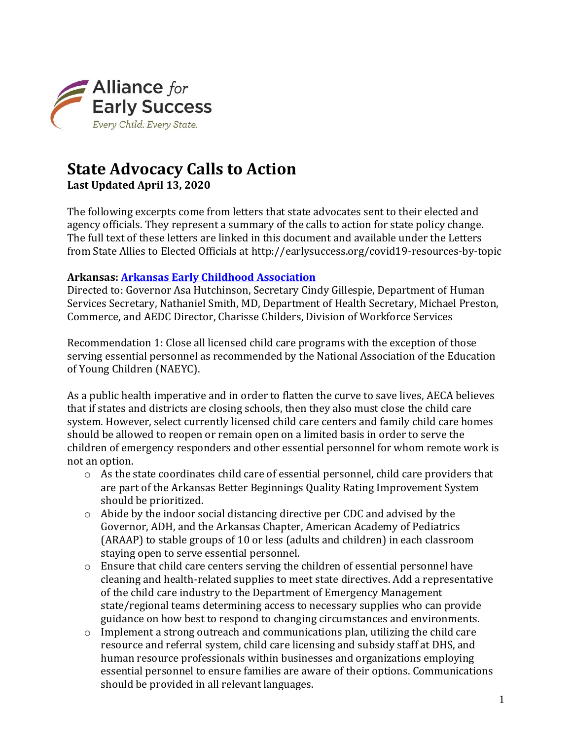

# **State Advocacy Calls to Action**

**Last Updated April 13, 2020**

The following excerpts come from letters that state advocates sent to their elected and agency officials. They represent a summary of the calls to action for state policy change. The full text of these letters are linked in this document and available under the Letters from State Allies to Elected Officials at http://earlysuccess.org/covid19-resources-by-topic

### **Arkansas: [Arkansas Early Childhood Association](http://earlysuccess.org/sites/default/files/Part2RecommendationsCOVID19andChild%20CareSectorSupports%20FINAL.pdf)**

Directed to: Governor Asa Hutchinson, Secretary Cindy Gillespie, Department of Human Services Secretary, Nathaniel Smith, MD, Department of Health Secretary, Michael Preston, Commerce, and AEDC Director, Charisse Childers, Division of Workforce Services

Recommendation 1: Close all licensed child care programs with the exception of those serving essential personnel as recommended by the National Association of the Education of Young Children (NAEYC).

As a public health imperative and in order to flatten the curve to save lives, AECA believes that if states and districts are closing schools, then they also must close the child care system. However, select currently licensed child care centers and family child care homes should be allowed to reopen or remain open on a limited basis in order to serve the children of emergency responders and other essential personnel for whom remote work is not an option.

- o As the state coordinates child care of essential personnel, child care providers that are part of the Arkansas Better Beginnings Quality Rating Improvement System should be prioritized.
- o Abide by the indoor social distancing directive per CDC and advised by the Governor, ADH, and the Arkansas Chapter, American Academy of Pediatrics (ARAAP) to stable groups of 10 or less (adults and children) in each classroom staying open to serve essential personnel.
- o Ensure that child care centers serving the children of essential personnel have cleaning and health-related supplies to meet state directives. Add a representative of the child care industry to the Department of Emergency Management state/regional teams determining access to necessary supplies who can provide guidance on how best to respond to changing circumstances and environments.
- $\circ$  Implement a strong outreach and communications plan, utilizing the child care resource and referral system, child care licensing and subsidy staff at DHS, and human resource professionals within businesses and organizations employing essential personnel to ensure families are aware of their options. Communications should be provided in all relevant languages.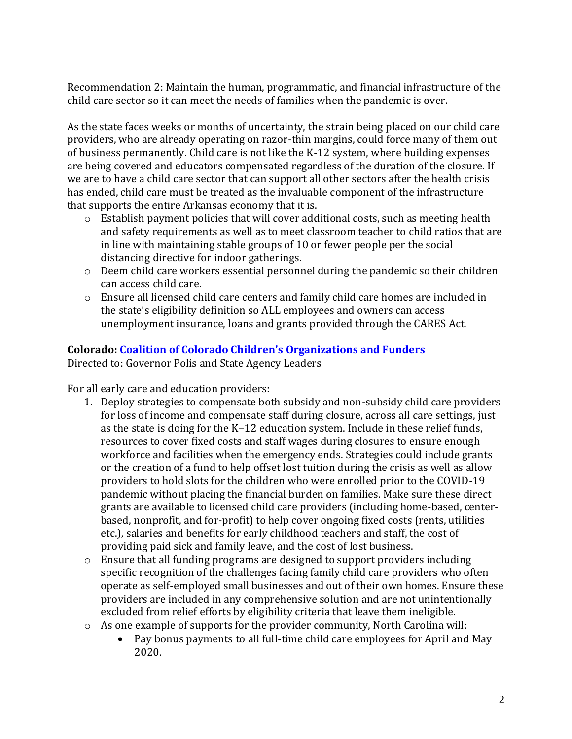Recommendation 2: Maintain the human, programmatic, and financial infrastructure of the child care sector so it can meet the needs of families when the pandemic is over.

As the state faces weeks or months of uncertainty, the strain being placed on our child care providers, who are already operating on razor-thin margins, could force many of them out of business permanently. Child care is not like the K-12 system, where building expenses are being covered and educators compensated regardless of the duration of the closure. If we are to have a child care sector that can support all other sectors after the health crisis has ended, child care must be treated as the invaluable component of the infrastructure that supports the entire Arkansas economy that it is.

- o Establish payment policies that will cover additional costs, such as meeting health and safety requirements as well as to meet classroom teacher to child ratios that are in line with maintaining stable groups of 10 or fewer people per the social distancing directive for indoor gatherings.
- o Deem child care workers essential personnel during the pandemic so their children can access child care.
- o Ensure all licensed child care centers and family child care homes are included in the state's eligibility definition so ALL employees and owners can access unemployment insurance, loans and grants provided through the CARES Act.

# **Colorado: [Coalition of Colorado Children's](http://earlysuccess.org/sites/default/files/RecommendedColoradoChildCarePolicyChangesinResponsetoCOVID19v4.pdf) Organizations and Funders**

Directed to: Governor Polis and State Agency Leaders

For all early care and education providers:

- 1. Deploy strategies to compensate both subsidy and non-subsidy child care providers for loss of income and compensate staff during closure, across all care settings, just as the state is doing for the K–12 education system. Include in these relief funds, resources to cover fixed costs and staff wages during closures to ensure enough workforce and facilities when the emergency ends. Strategies could include grants or the creation of a fund to help offset lost tuition during the crisis as well as allow providers to hold slots for the children who were enrolled prior to the COVID-19 pandemic without placing the financial burden on families. Make sure these direct grants are available to licensed child care providers (including home-based, centerbased, nonprofit, and for-profit) to help cover ongoing fixed costs (rents, utilities etc.), salaries and benefits for early childhood teachers and staff, the cost of providing paid sick and family leave, and the cost of lost business.
- o Ensure that all funding programs are designed to support providers including specific recognition of the challenges facing family child care providers who often operate as self-employed small businesses and out of their own homes. Ensure these providers are included in any comprehensive solution and are not unintentionally excluded from relief efforts by eligibility criteria that leave them ineligible.
- o As one example of supports for the provider community, North Carolina will:
	- Pay bonus payments to all full-time child care employees for April and May 2020.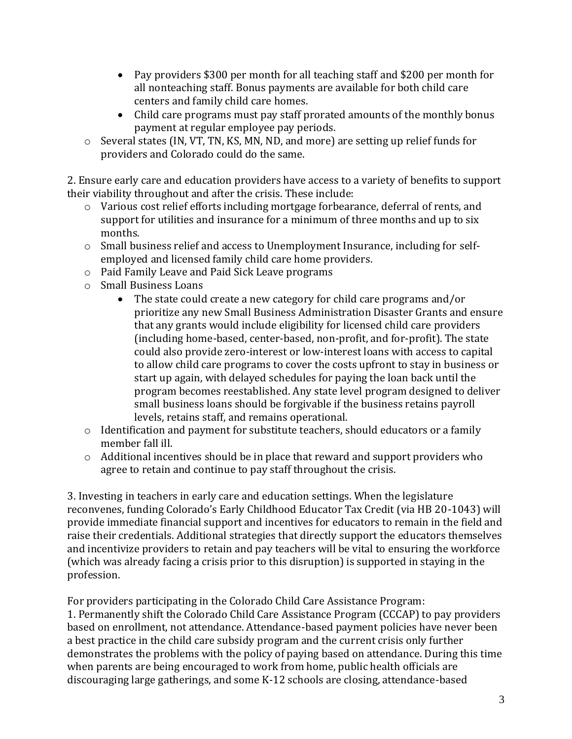- Pay providers \$300 per month for all teaching staff and \$200 per month for all nonteaching staff. Bonus payments are available for both child care centers and family child care homes.
- Child care programs must pay staff prorated amounts of the monthly bonus payment at regular employee pay periods.
- o Several states (IN, VT, TN, KS, MN, ND, and more) are setting up relief funds for providers and Colorado could do the same.

2. Ensure early care and education providers have access to a variety of benefits to support their viability throughout and after the crisis. These include:

- o Various cost relief efforts including mortgage forbearance, deferral of rents, and support for utilities and insurance for a minimum of three months and up to six months.
- o Small business relief and access to Unemployment Insurance, including for selfemployed and licensed family child care home providers.
- o Paid Family Leave and Paid Sick Leave programs
- o Small Business Loans
	- The state could create a new category for child care programs and/or prioritize any new Small Business Administration Disaster Grants and ensure that any grants would include eligibility for licensed child care providers (including home-based, center-based, non-profit, and for-profit). The state could also provide zero-interest or low-interest loans with access to capital to allow child care programs to cover the costs upfront to stay in business or start up again, with delayed schedules for paying the loan back until the program becomes reestablished. Any state level program designed to deliver small business loans should be forgivable if the business retains payroll levels, retains staff, and remains operational.
- o Identification and payment for substitute teachers, should educators or a family member fall ill.
- o Additional incentives should be in place that reward and support providers who agree to retain and continue to pay staff throughout the crisis.

3. Investing in teachers in early care and education settings. When the legislature reconvenes, funding Colorado's Early Childhood Educator Tax Credit (via HB 20-1043) will provide immediate financial support and incentives for educators to remain in the field and raise their credentials. Additional strategies that directly support the educators themselves and incentivize providers to retain and pay teachers will be vital to ensuring the workforce (which was already facing a crisis prior to this disruption) is supported in staying in the profession.

For providers participating in the Colorado Child Care Assistance Program: 1. Permanently shift the Colorado Child Care Assistance Program (CCCAP) to pay providers based on enrollment, not attendance. Attendance-based payment policies have never been a best practice in the child care subsidy program and the current crisis only further demonstrates the problems with the policy of paying based on attendance. During this time when parents are being encouraged to work from home, public health officials are discouraging large gatherings, and some K-12 schools are closing, attendance-based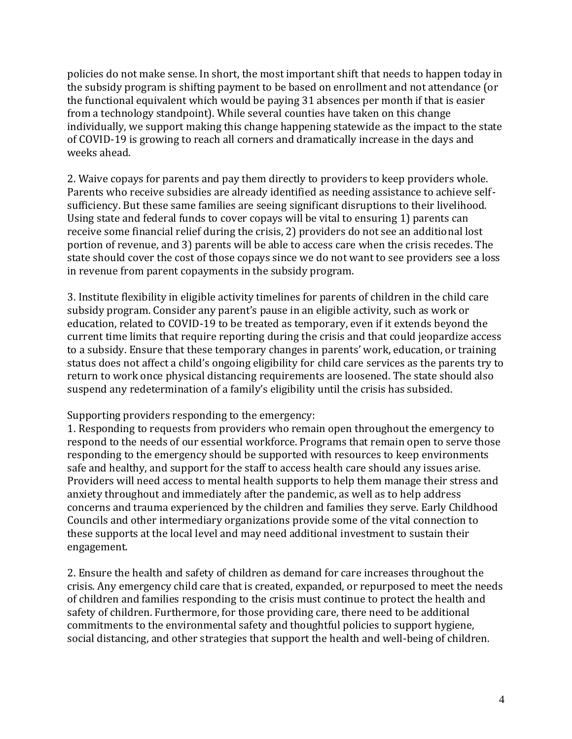policies do not make sense. In short, the most important shift that needs to happen today in the subsidy program is shifting payment to be based on enrollment and not attendance (or the functional equivalent which would be paying 31 absences per month if that is easier from a technology standpoint). While several counties have taken on this change individually, we support making this change happening statewide as the impact to the state of COVID-19 is growing to reach all corners and dramatically increase in the days and weeks ahead.

2. Waive copays for parents and pay them directly to providers to keep providers whole. Parents who receive subsidies are already identified as needing assistance to achieve selfsufficiency. But these same families are seeing significant disruptions to their livelihood. Using state and federal funds to cover copays will be vital to ensuring 1) parents can receive some financial relief during the crisis, 2) providers do not see an additional lost portion of revenue, and 3) parents will be able to access care when the crisis recedes. The state should cover the cost of those copays since we do not want to see providers see a loss in revenue from parent copayments in the subsidy program.

3. Institute flexibility in eligible activity timelines for parents of children in the child care subsidy program. Consider any parent's pause in an eligible activity, such as work or education, related to COVID-19 to be treated as temporary, even if it extends beyond the current time limits that require reporting during the crisis and that could jeopardize access to a subsidy. Ensure that these temporary changes in parents' work, education, or training status does not affect a child's ongoing eligibility for child care services as the parents try to return to work once physical distancing requirements are loosened. The state should also suspend any redetermination of a family's eligibility until the crisis has subsided.

Supporting providers responding to the emergency:

1. Responding to requests from providers who remain open throughout the emergency to respond to the needs of our essential workforce. Programs that remain open to serve those responding to the emergency should be supported with resources to keep environments safe and healthy, and support for the staff to access health care should any issues arise. Providers will need access to mental health supports to help them manage their stress and anxiety throughout and immediately after the pandemic, as well as to help address concerns and trauma experienced by the children and families they serve. Early Childhood Councils and other intermediary organizations provide some of the vital connection to these supports at the local level and may need additional investment to sustain their engagement.

2. Ensure the health and safety of children as demand for care increases throughout the crisis. Any emergency child care that is created, expanded, or repurposed to meet the needs of children and families responding to the crisis must continue to protect the health and safety of children. Furthermore, for those providing care, there need to be additional commitments to the environmental safety and thoughtful policies to support hygiene, social distancing, and other strategies that support the health and well-being of children.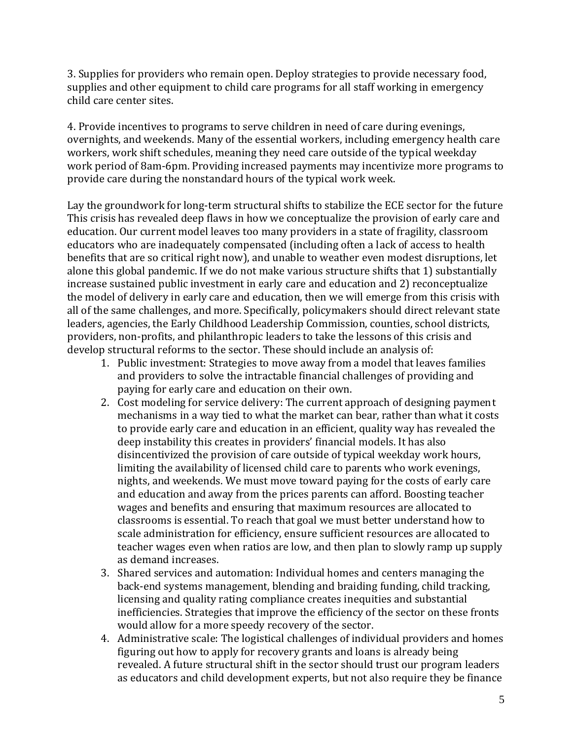3. Supplies for providers who remain open. Deploy strategies to provide necessary food, supplies and other equipment to child care programs for all staff working in emergency child care center sites.

4. Provide incentives to programs to serve children in need of care during evenings, overnights, and weekends. Many of the essential workers, including emergency health care workers, work shift schedules, meaning they need care outside of the typical weekday work period of 8am-6pm. Providing increased payments may incentivize more programs to provide care during the nonstandard hours of the typical work week.

Lay the groundwork for long-term structural shifts to stabilize the ECE sector for the future This crisis has revealed deep flaws in how we conceptualize the provision of early care and education. Our current model leaves too many providers in a state of fragility, classroom educators who are inadequately compensated (including often a lack of access to health benefits that are so critical right now), and unable to weather even modest disruptions, let alone this global pandemic. If we do not make various structure shifts that 1) substantially increase sustained public investment in early care and education and 2) reconceptualize the model of delivery in early care and education, then we will emerge from this crisis with all of the same challenges, and more. Specifically, policymakers should direct relevant state leaders, agencies, the Early Childhood Leadership Commission, counties, school districts, providers, non-profits, and philanthropic leaders to take the lessons of this crisis and develop structural reforms to the sector. These should include an analysis of:

- 1. Public investment: Strategies to move away from a model that leaves families and providers to solve the intractable financial challenges of providing and paying for early care and education on their own.
- 2. Cost modeling for service delivery: The current approach of designing payment mechanisms in a way tied to what the market can bear, rather than what it costs to provide early care and education in an efficient, quality way has revealed the deep instability this creates in providers' financial models. It has also disincentivized the provision of care outside of typical weekday work hours, limiting the availability of licensed child care to parents who work evenings, nights, and weekends. We must move toward paying for the costs of early care and education and away from the prices parents can afford. Boosting teacher wages and benefits and ensuring that maximum resources are allocated to classrooms is essential. To reach that goal we must better understand how to scale administration for efficiency, ensure sufficient resources are allocated to teacher wages even when ratios are low, and then plan to slowly ramp up supply as demand increases.
- 3. Shared services and automation: Individual homes and centers managing the back-end systems management, blending and braiding funding, child tracking, licensing and quality rating compliance creates inequities and substantial inefficiencies. Strategies that improve the efficiency of the sector on these fronts would allow for a more speedy recovery of the sector.
- 4. Administrative scale: The logistical challenges of individual providers and homes figuring out how to apply for recovery grants and loans is already being revealed. A future structural shift in the sector should trust our program leaders as educators and child development experts, but not also require they be finance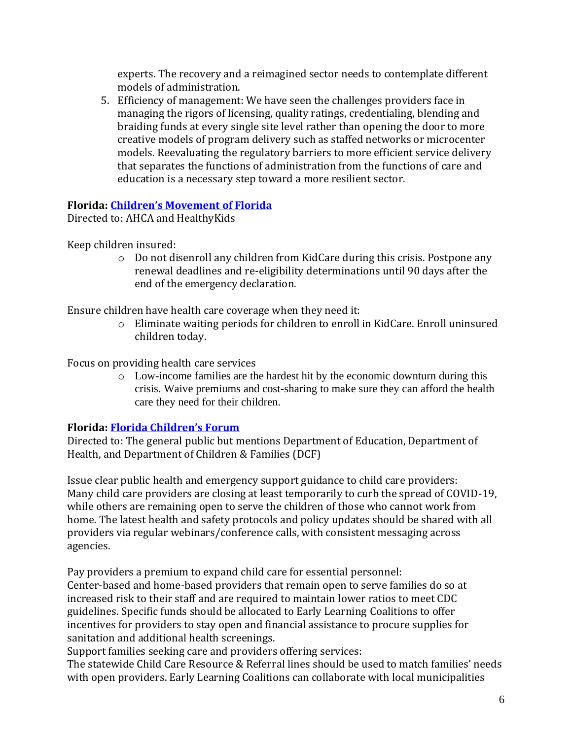experts. The recovery and a reimagined sector needs to contemplate different models of administration.

5. Efficiency of management: We have seen the challenges providers face in managing the rigors of licensing, quality ratings, credentialing, blending and braiding funds at every single site level rather than opening the door to more creative models of program delivery such as staffed networks or microcenter models. Reevaluating the regulatory barriers to more efficient service delivery that separates the functions of administration from the functions of care and education is a necessary step toward a more resilient sector.

### **Florida: [Children's Movement of Florida](https://earlysuccess.org/sites/default/files/The%20Movement%27s%20Health%20Care%20Recommendations%20-%20COVID-19.pdf)**

Directed to: AHCA and HealthyKids

Keep children insured:

 $\circ$  Do not disenroll any children from KidCare during this crisis. Postpone any renewal deadlines and re-eligibility determinations until 90 days after the end of the emergency declaration.

Ensure children have health care coverage when they need it:

o Eliminate waiting periods for children to enroll in KidCare. Enroll uninsured children today.

Focus on providing health care services

o Low-income families are the hardest hit by the economic downturn during this crisis. Waive premiums and cost-sharing to make sure they can afford the health care they need for their children.

# **Florida: [Florida Children's Forum](https://www.childrensmovementflorida.org/wp-content/uploads/The-Movements-Child-Care-Recommendations-COVID-19.pdf)**

Directed to: The general public but mentions Department of Education, Department of Health, and Department of Children & Families (DCF)

Issue clear public health and emergency support guidance to child care providers: Many child care providers are closing at least temporarily to curb the spread of COVID-19, while others are remaining open to serve the children of those who cannot work from home. The latest health and safety protocols and policy updates should be shared with all providers via regular webinars/conference calls, with consistent messaging across agencies.

Pay providers a premium to expand child care for essential personnel: Center-based and home-based providers that remain open to serve families do so at increased risk to their staff and are required to maintain lower ratios to meet CDC guidelines. Specific funds should be allocated to Early Learning Coalitions to offer incentives for providers to stay open and financial assistance to procure supplies for sanitation and additional health screenings.

Support families seeking care and providers offering services:

The statewide Child Care Resource & Referral lines should be used to match families' needs with open providers. Early Learning Coalitions can collaborate with local municipalities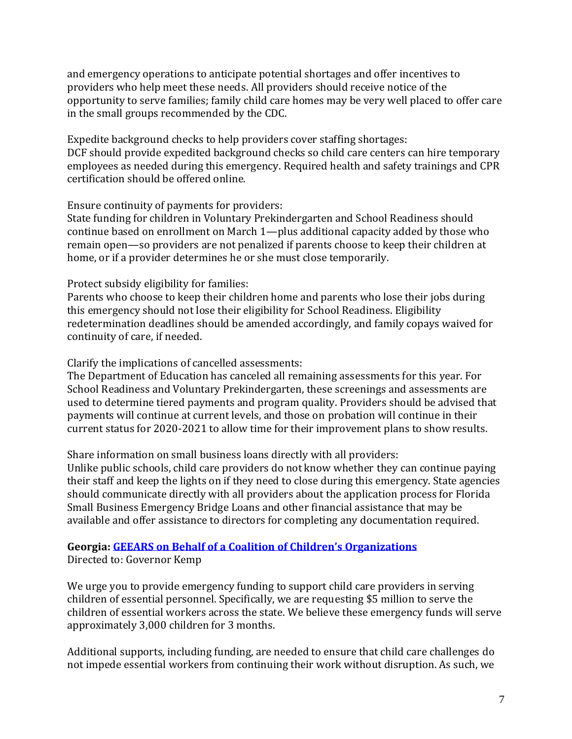and emergency operations to anticipate potential shortages and offer incentives to providers who help meet these needs. All providers should receive notice of the opportunity to serve families; family child care homes may be very well placed to offer care in the small groups recommended by the CDC.

Expedite background checks to help providers cover staffing shortages: DCF should provide expedited background checks so child care centers can hire temporary employees as needed during this emergency. Required health and safety trainings and CPR certification should be offered online.

Ensure continuity of payments for providers:

State funding for children in Voluntary Prekindergarten and School Readiness should continue based on enrollment on March 1—plus additional capacity added by those who remain open—so providers are not penalized if parents choose to keep their children at home, or if a provider determines he or she must close temporarily.

Protect subsidy eligibility for families:

Parents who choose to keep their children home and parents who lose their jobs during this emergency should not lose their eligibility for School Readiness. Eligibility redetermination deadlines should be amended accordingly, and family copays waived for continuity of care, if needed.

Clarify the implications of cancelled assessments:

The Department of Education has canceled all remaining assessments for this year. For School Readiness and Voluntary Prekindergarten, these screenings and assessments are used to determine tiered payments and program quality. Providers should be advised that payments will continue at current levels, and those on probation will continue in their current status for 2020-2021 to allow time for their improvement plans to show results.

Share information on small business loans directly with all providers:

Unlike public schools, child care providers do not know whether they can continue paying their staff and keep the lights on if they need to close during this emergency. State agencies should communicate directly with all providers about the application process for Florida Small Business Emergency Bridge Loans and other financial assistance that may be available and offer assistance to directors for completing any documentation required.

### **Georgia: [GEEARS on Behalf of a Coalition of C](http://earlysuccess.org/sites/default/files/Critical%20Child%20Care%20Letter%20to%20Governor%20Kemp%20with%20Memorandum%20FINAL_0.pdf)hildren's Organizations** Directed to: Governor Kemp

We urge you to provide emergency funding to support child care providers in serving children of essential personnel. Specifically, we are requesting \$5 million to serve the children of essential workers across the state. We believe these emergency funds will serve approximately 3,000 children for 3 months.

Additional supports, including funding, are needed to ensure that child care challenges do not impede essential workers from continuing their work without disruption. As such, we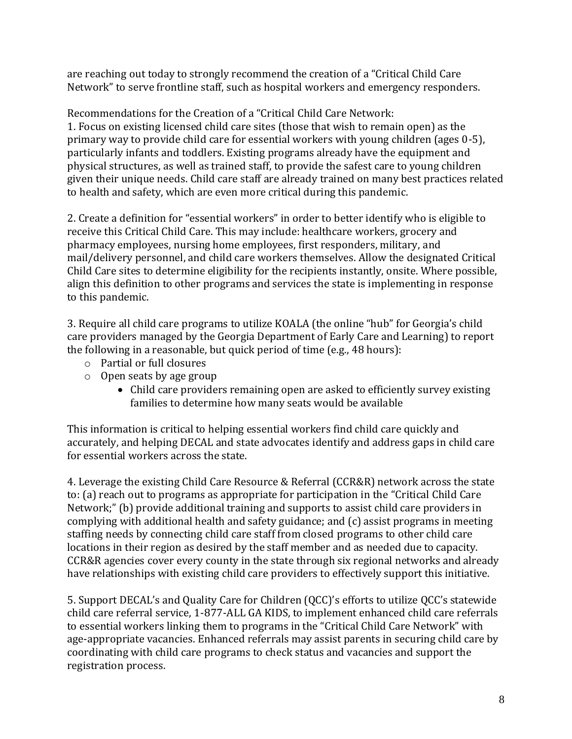are reaching out today to strongly recommend the creation of a "Critical Child Care Network" to serve frontline staff, such as hospital workers and emergency responders.

Recommendations for the Creation of a "Critical Child Care Network: 1. Focus on existing licensed child care sites (those that wish to remain open) as the primary way to provide child care for essential workers with young children (ages 0-5), particularly infants and toddlers. Existing programs already have the equipment and physical structures, as well as trained staff, to provide the safest care to young children given their unique needs. Child care staff are already trained on many best practices related to health and safety, which are even more critical during this pandemic.

2. Create a definition for "essential workers" in order to better identify who is eligible to receive this Critical Child Care. This may include: healthcare workers, grocery and pharmacy employees, nursing home employees, first responders, military, and mail/delivery personnel, and child care workers themselves. Allow the designated Critical Child Care sites to determine eligibility for the recipients instantly, onsite. Where possible, align this definition to other programs and services the state is implementing in response to this pandemic.

3. Require all child care programs to utilize KOALA (the online "hub" for Georgia's child care providers managed by the Georgia Department of Early Care and Learning) to report the following in a reasonable, but quick period of time (e.g., 48 hours):

- o Partial or full closures
- o Open seats by age group
	- Child care providers remaining open are asked to efficiently survey existing families to determine how many seats would be available

This information is critical to helping essential workers find child care quickly and accurately, and helping DECAL and state advocates identify and address gaps in child care for essential workers across the state.

4. Leverage the existing Child Care Resource & Referral (CCR&R) network across the state to: (a) reach out to programs as appropriate for participation in the "Critical Child Care Network;" (b) provide additional training and supports to assist child care providers in complying with additional health and safety guidance; and (c) assist programs in meeting staffing needs by connecting child care staff from closed programs to other child care locations in their region as desired by the staff member and as needed due to capacity. CCR&R agencies cover every county in the state through six regional networks and already have relationships with existing child care providers to effectively support this initiative.

5. Support DECAL's and Quality Care for Children (QCC)'s efforts to utilize QCC's statewide child care referral service, 1-877-ALL GA KIDS, to implement enhanced child care referrals to essential workers linking them to programs in the "Critical Child Care Network" with age-appropriate vacancies. Enhanced referrals may assist parents in securing child care by coordinating with child care programs to check status and vacancies and support the registration process.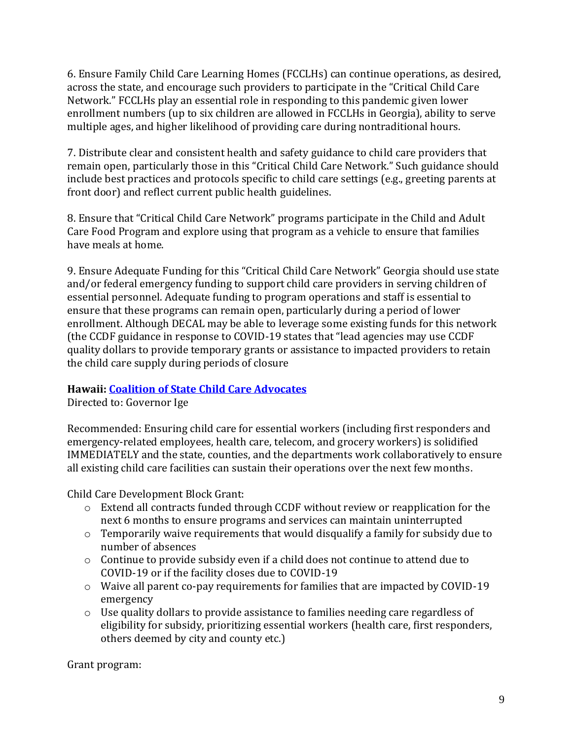6. Ensure Family Child Care Learning Homes (FCCLHs) can continue operations, as desired, across the state, and encourage such providers to participate in the "Critical Child Care Network." FCCLHs play an essential role in responding to this pandemic given lower enrollment numbers (up to six children are allowed in FCCLHs in Georgia), ability to serve multiple ages, and higher likelihood of providing care during nontraditional hours.

7. Distribute clear and consistent health and safety guidance to child care providers that remain open, particularly those in this "Critical Child Care Network." Such guidance should include best practices and protocols specific to child care settings (e.g., greeting parents at front door) and reflect current public health guidelines.

8. Ensure that "Critical Child Care Network" programs participate in the Child and Adult Care Food Program and explore using that program as a vehicle to ensure that families have meals at home.

9. Ensure Adequate Funding for this "Critical Child Care Network" Georgia should use state and/or federal emergency funding to support child care providers in serving children of essential personnel. Adequate funding to program operations and staff is essential to ensure that these programs can remain open, particularly during a period of lower enrollment. Although DECAL may be able to leverage some existing funds for this network (the CCDF guidance in response to COVID-19 states that "lead agencies may use CCDF quality dollars to provide temporary grants or assistance to impacted providers to retain the child care supply during periods of closure

# **Hawaii[: Coalition of State Child Care Advocates](http://earlysuccess.org/sites/default/files/ChildCareNeedsProtection.docx)**

Directed to: Governor Ige

Recommended: Ensuring child care for essential workers (including first responders and emergency-related employees, health care, telecom, and grocery workers) is solidified IMMEDIATELY and the state, counties, and the departments work collaboratively to ensure all existing child care facilities can sustain their operations over the next few months.

Child Care Development Block Grant:

- o Extend all contracts funded through CCDF without review or reapplication for the next 6 months to ensure programs and services can maintain uninterrupted
- o Temporarily waive requirements that would disqualify a family for subsidy due to number of absences
- o Continue to provide subsidy even if a child does not continue to attend due to COVID-19 or if the facility closes due to COVID-19
- o Waive all parent co-pay requirements for families that are impacted by COVID-19 emergency
- o Use quality dollars to provide assistance to families needing care regardless of eligibility for subsidy, prioritizing essential workers (health care, first responders, others deemed by city and county etc.)

Grant program: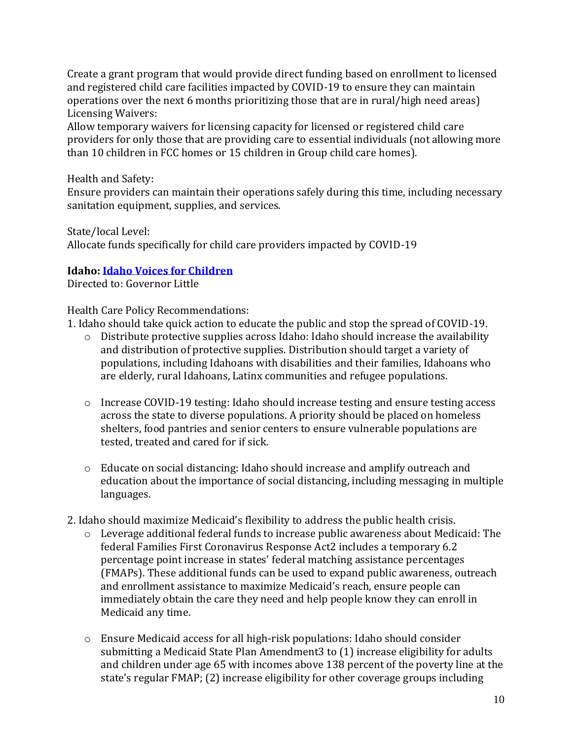Create a grant program that would provide direct funding based on enrollment to licensed and registered child care facilities impacted by COVID-19 to ensure they can maintain operations over the next 6 months prioritizing those that are in rural/high need areas) Licensing Waivers:

Allow temporary waivers for licensing capacity for licensed or registered child care providers for only those that are providing care to essential individuals (not allowing more than 10 children in FCC homes or 15 children in Group child care homes).

Health and Safety:

Ensure providers can maintain their operations safely during this time, including necessary sanitation equipment, supplies, and services.

State/local Level: Allocate funds specifically for child care providers impacted by COVID-19

# **Idaho: [Idaho Voices for Children](https://www.idahovoices.org/wp-content/uploads/2020/03/Idaho-Voices_COVID19-Letter-to-Governor-3-18-20.pdf)**

Directed to: Governor Little

Health Care Policy Recommendations:

1. Idaho should take quick action to educate the public and stop the spread of COVID-19.

- o Distribute protective supplies across Idaho: Idaho should increase the availability and distribution of protective supplies. Distribution should target a variety of populations, including Idahoans with disabilities and their families, Idahoans who are elderly, rural Idahoans, Latinx communities and refugee populations.
- $\circ$  Increase COVID-19 testing: Idaho should increase testing and ensure testing access across the state to diverse populations. A priority should be placed on homeless shelters, food pantries and senior centers to ensure vulnerable populations are tested, treated and cared for if sick.
- $\circ$  Educate on social distancing: Idaho should increase and amplify outreach and education about the importance of social distancing, including messaging in multiple languages.
- 2. Idaho should maximize Medicaid's flexibility to address the public health crisis.
	- o Leverage additional federal funds to increase public awareness about Medicaid: The federal Families First Coronavirus Response Act2 includes a temporary 6.2 percentage point increase in states' federal matching assistance percentages (FMAPs). These additional funds can be used to expand public awareness, outreach and enrollment assistance to maximize Medicaid's reach, ensure people can immediately obtain the care they need and help people know they can enroll in Medicaid any time.
	- o Ensure Medicaid access for all high-risk populations: Idaho should consider submitting a Medicaid State Plan Amendment3 to (1) increase eligibility for adults and children under age 65 with incomes above 138 percent of the poverty line at the state's regular FMAP; (2) increase eligibility for other coverage groups including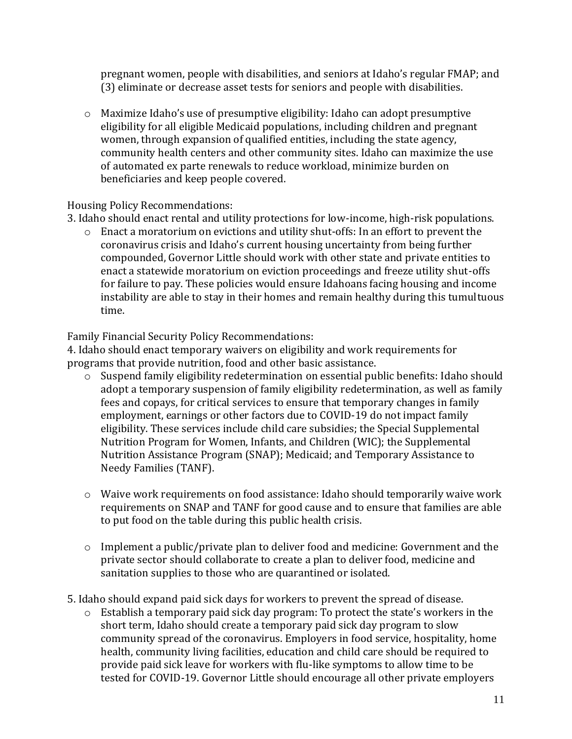pregnant women, people with disabilities, and seniors at Idaho's regular FMAP; and (3) eliminate or decrease asset tests for seniors and people with disabilities.

 $\circ$  Maximize Idaho's use of presumptive eligibility: Idaho can adopt presumptive eligibility for all eligible Medicaid populations, including children and pregnant women, through expansion of qualified entities, including the state agency, community health centers and other community sites. Idaho can maximize the use of automated ex parte renewals to reduce workload, minimize burden on beneficiaries and keep people covered.

### Housing Policy Recommendations:

3. Idaho should enact rental and utility protections for low-income, high-risk populations.

o Enact a moratorium on evictions and utility shut-offs: In an effort to prevent the coronavirus crisis and Idaho's current housing uncertainty from being further compounded, Governor Little should work with other state and private entities to enact a statewide moratorium on eviction proceedings and freeze utility shut-offs for failure to pay. These policies would ensure Idahoans facing housing and income instability are able to stay in their homes and remain healthy during this tumultuous time.

Family Financial Security Policy Recommendations:

4. Idaho should enact temporary waivers on eligibility and work requirements for programs that provide nutrition, food and other basic assistance.

- o Suspend family eligibility redetermination on essential public benefits: Idaho should adopt a temporary suspension of family eligibility redetermination, as well as family fees and copays, for critical services to ensure that temporary changes in family employment, earnings or other factors due to COVID-19 do not impact family eligibility. These services include child care subsidies; the Special Supplemental Nutrition Program for Women, Infants, and Children (WIC); the Supplemental Nutrition Assistance Program (SNAP); Medicaid; and Temporary Assistance to Needy Families (TANF).
- $\circ$  Waive work requirements on food assistance: Idaho should temporarily waive work requirements on SNAP and TANF for good cause and to ensure that families are able to put food on the table during this public health crisis.
- $\circ$  Implement a public/private plan to deliver food and medicine: Government and the private sector should collaborate to create a plan to deliver food, medicine and sanitation supplies to those who are quarantined or isolated.
- 5. Idaho should expand paid sick days for workers to prevent the spread of disease.
	- o Establish a temporary paid sick day program: To protect the state's workers in the short term, Idaho should create a temporary paid sick day program to slow community spread of the coronavirus. Employers in food service, hospitality, home health, community living facilities, education and child care should be required to provide paid sick leave for workers with flu-like symptoms to allow time to be tested for COVID-19. Governor Little should encourage all other private employers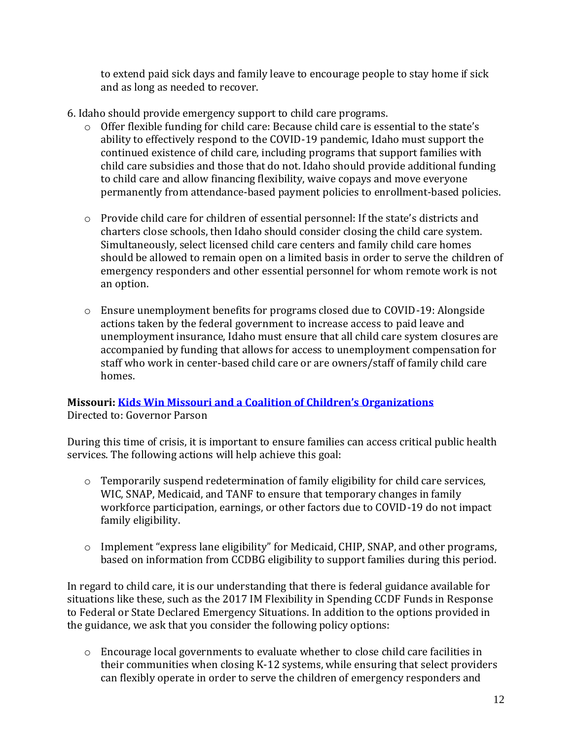to extend paid sick days and family leave to encourage people to stay home if sick and as long as needed to recover.

- 6. Idaho should provide emergency support to child care programs.
	- o Offer flexible funding for child care: Because child care is essential to the state's ability to effectively respond to the COVID-19 pandemic, Idaho must support the continued existence of child care, including programs that support families with child care subsidies and those that do not. Idaho should provide additional funding to child care and allow financing flexibility, waive copays and move everyone permanently from attendance-based payment policies to enrollment-based policies.
	- o Provide child care for children of essential personnel: If the state's districts and charters close schools, then Idaho should consider closing the child care system. Simultaneously, select licensed child care centers and family child care homes should be allowed to remain open on a limited basis in order to serve the children of emergency responders and other essential personnel for whom remote work is not an option.
	- $\circ$  Ensure unemployment benefits for programs closed due to COVID-19: Alongside actions taken by the federal government to increase access to paid leave and unemployment insurance, Idaho must ensure that all child care system closures are accompanied by funding that allows for access to unemployment compensation for staff who work in center-based child care or are owners/staff of family child care homes.

### **Missouri: [Kids Win Missouri and a Coalition of C](https://mcusercontent.com/7820ee0632c60a598cee470aa/files/b3dd6f25-7a86-4917-bbfb-10ed208304a2/Coronavirus_Response_Letter_March_19_2020.pdf)hildren's Organizations** Directed to: Governor Parson

During this time of crisis, it is important to ensure families can access critical public health services. The following actions will help achieve this goal:

- o Temporarily suspend redetermination of family eligibility for child care services, WIC, SNAP, Medicaid, and TANF to ensure that temporary changes in family workforce participation, earnings, or other factors due to COVID-19 do not impact family eligibility.
- o Implement "express lane eligibility" for Medicaid, CHIP, SNAP, and other programs, based on information from CCDBG eligibility to support families during this period.

In regard to child care, it is our understanding that there is federal guidance available for situations like these, such as the 2017 IM Flexibility in Spending CCDF Funds in Response to Federal or State Declared Emergency Situations. In addition to the options provided in the guidance, we ask that you consider the following policy options:

o Encourage local governments to evaluate whether to close child care facilities in their communities when closing K-12 systems, while ensuring that select providers can flexibly operate in order to serve the children of emergency responders and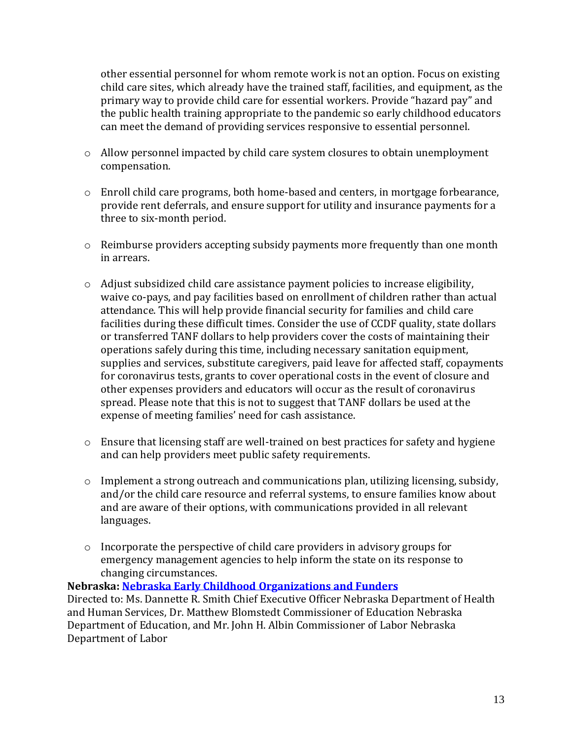other essential personnel for whom remote work is not an option. Focus on existing child care sites, which already have the trained staff, facilities, and equipment, as the primary way to provide child care for essential workers. Provide "hazard pay" and the public health training appropriate to the pandemic so early childhood educators can meet the demand of providing services responsive to essential personnel.

- o Allow personnel impacted by child care system closures to obtain unemployment compensation.
- $\circ$  Enroll child care programs, both home-based and centers, in mortgage forbearance, provide rent deferrals, and ensure support for utility and insurance payments for a three to six-month period.
- o Reimburse providers accepting subsidy payments more frequently than one month in arrears.
- $\circ$  Adjust subsidized child care assistance payment policies to increase eligibility, waive co-pays, and pay facilities based on enrollment of children rather than actual attendance. This will help provide financial security for families and child care facilities during these difficult times. Consider the use of CCDF quality, state dollars or transferred TANF dollars to help providers cover the costs of maintaining their operations safely during this time, including necessary sanitation equipment, supplies and services, substitute caregivers, paid leave for affected staff, copayments for coronavirus tests, grants to cover operational costs in the event of closure and other expenses providers and educators will occur as the result of coronavirus spread. Please note that this is not to suggest that TANF dollars be used at the expense of meeting families' need for cash assistance.
- o Ensure that licensing staff are well-trained on best practices for safety and hygiene and can help providers meet public safety requirements.
- o Implement a strong outreach and communications plan, utilizing licensing, subsidy, and/or the child care resource and referral systems, to ensure families know about and are aware of their options, with communications provided in all relevant languages.
- $\circ$  Incorporate the perspective of child care providers in advisory groups for emergency management agencies to help inform the state on its response to changing circumstances.

# **Nebraska[: Nebraska Early Childhood Organizations and Funders](http://earlysuccess.org/sites/default/files/State-Level_COVID-19%20Recommendations_EC%20Partners_FINAL%203-20-20_0.pdf)**

Directed to: Ms. Dannette R. Smith Chief Executive Officer Nebraska Department of Health and Human Services, Dr. Matthew Blomstedt Commissioner of Education Nebraska Department of Education, and Mr. John H. Albin Commissioner of Labor Nebraska Department of Labor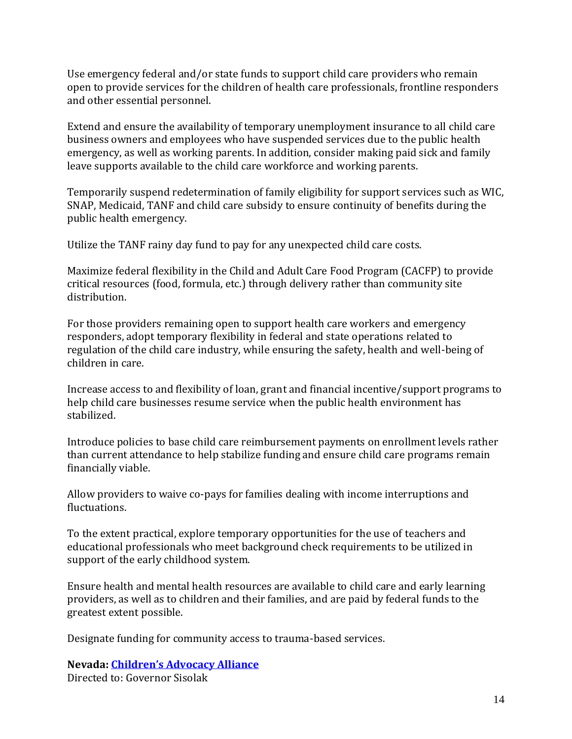Use emergency federal and/or state funds to support child care providers who remain open to provide services for the children of health care professionals, frontline responders and other essential personnel.

Extend and ensure the availability of temporary unemployment insurance to all child care business owners and employees who have suspended services due to the public health emergency, as well as working parents. In addition, consider making paid sick and family leave supports available to the child care workforce and working parents.

Temporarily suspend redetermination of family eligibility for support services such as WIC, SNAP, Medicaid, TANF and child care subsidy to ensure continuity of benefits during the public health emergency.

Utilize the TANF rainy day fund to pay for any unexpected child care costs.

Maximize federal flexibility in the Child and Adult Care Food Program (CACFP) to provide critical resources (food, formula, etc.) through delivery rather than community site distribution.

For those providers remaining open to support health care workers and emergency responders, adopt temporary flexibility in federal and state operations related to regulation of the child care industry, while ensuring the safety, health and well-being of children in care.

Increase access to and flexibility of loan, grant and financial incentive/support programs to help child care businesses resume service when the public health environment has stabilized.

Introduce policies to base child care reimbursement payments on enrollment levels rather than current attendance to help stabilize funding and ensure child care programs remain financially viable.

Allow providers to waive co-pays for families dealing with income interruptions and fluctuations.

To the extent practical, explore temporary opportunities for the use of teachers and educational professionals who meet background check requirements to be utilized in support of the early childhood system.

Ensure health and mental health resources are available to child care and early learning providers, as well as to children and their families, and are paid by federal funds to the greatest extent possible.

Designate funding for community access to trauma-based services.

**Nevada: [Children's Advocacy Alliance](http://earlysuccess.org/sites/default/files/Letter%20to%20Gov%20Sisolak_%20Nevada%20Early%20Childhood%20COVID-19%20Recommendations.pdf)** Directed to: Governor Sisolak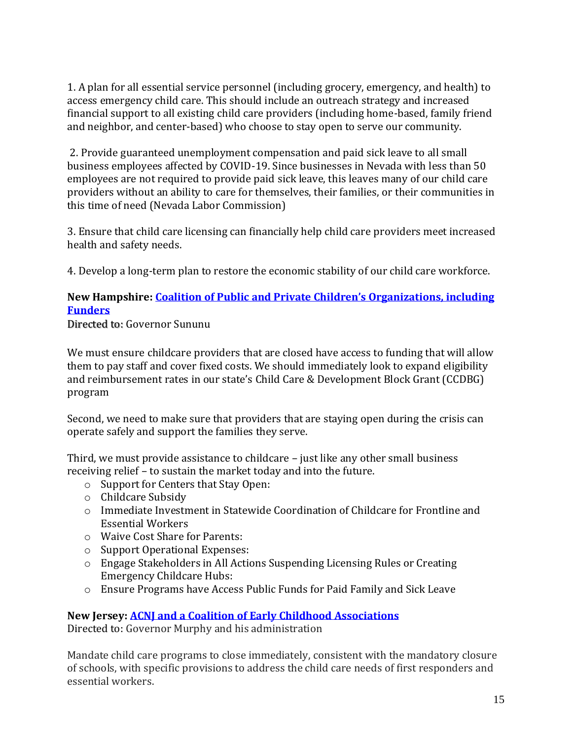1. A plan for all essential service personnel (including grocery, emergency, and health) to access emergency child care. This should include an outreach strategy and increased financial support to all existing child care providers (including home-based, family friend and neighbor, and center-based) who choose to stay open to serve our community.

2. Provide guaranteed unemployment compensation and paid sick leave to all small business employees affected by COVID-19. Since businesses in Nevada with less than 50 employees are not required to provide paid sick leave, this leaves many of our child care providers without an ability to care for themselves, their families, or their communities in this time of need (Nevada Labor Commission)

3. Ensure that child care licensing can financially help child care providers meet increased health and safety needs.

4. Develop a long-term plan to restore the economic stability of our child care workforce.

### **New Hampshire: [Coalition of Public and Private C](http://earlysuccess.org/sites/default/files/20200320EmergencychildcarelettertoGovSununu.pdf)hildren's Organizations, including [Funders](http://earlysuccess.org/sites/default/files/20200320EmergencychildcarelettertoGovSununu.pdf)**

Directed to: Governor Sununu

We must ensure childcare providers that are closed have access to funding that will allow them to pay staff and cover fixed costs. We should immediately look to expand eligibility and reimbursement rates in our state's Child Care & Development Block Grant (CCDBG) program

Second, we need to make sure that providers that are staying open during the crisis can operate safely and support the families they serve.

Third, we must provide assistance to childcare – just like any other small business receiving relief – to sustain the market today and into the future.

- o Support for Centers that Stay Open:
- o Childcare Subsidy
- $\circ$  Immediate Investment in Statewide Coordination of Childcare for Frontline and Essential Workers
- o Waive Cost Share for Parents:
- o Support Operational Expenses:
- o Engage Stakeholders in All Actions Suspending Licensing Rules or Creating Emergency Childcare Hubs:
- o Ensure Programs have Access Public Funds for Paid Family and Sick Leave

# **New Jersey: [ACNJ and a Coalition of Early Childhood Associations](https://acnj.org/read-child-care-statement-on-covid-19/)**

Directed to: Governor Murphy and his administration

Mandate child care programs to close immediately, consistent with the mandatory closure of schools, with specific provisions to address the child care needs of first responders and essential workers.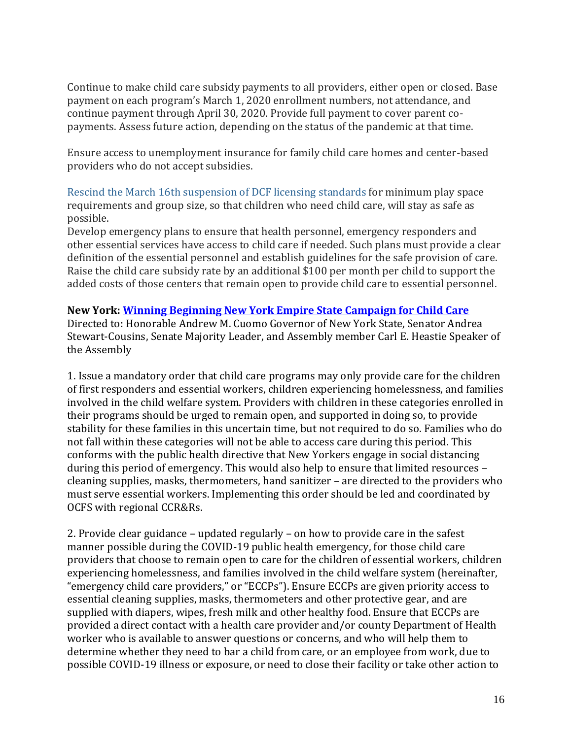Continue to make child care subsidy payments to all providers, either open or closed. Base payment on each program's March 1, 2020 enrollment numbers, not attendance, and continue payment through April 30, 2020. Provide full payment to cover parent copayments. Assess future action, depending on the status of the pandemic at that time.

Ensure access to unemployment insurance for family child care homes and center-based providers who do not accept subsidies.

Rescind the March 16th [suspension](https://default.salsalabs.org/Tba43945d-1562-4367-9bea-ab280d4f953a/1dcb4f28-816c-4bb0-a8c2-737eda91ac28) of DCF licensing standards for minimum play space requirements and group size, so that children who need child care, will stay as safe as possible.

Develop emergency plans to ensure that health personnel, emergency responders and other essential services have access to child care if needed. Such plans must provide a clear definition of the essential personnel and establish guidelines for the safe provision of care. Raise the child care subsidy rate by an additional \$100 per month per child to support the added costs of those centers that remain open to provide child care to essential personnel.

### **New York: [Winning Beginning New York Empire State Campaign for Child Care](https://scaany.org/wp-content/uploads/2020/03/Letter-to-Governor-3-27-20-Child-Care-and-COVID-19-FINAL.pdf)**

Directed to: Honorable Andrew M. Cuomo Governor of New York State, Senator Andrea Stewart-Cousins, Senate Majority Leader, and Assembly member Carl E. Heastie Speaker of the Assembly

1. Issue a mandatory order that child care programs may only provide care for the children of first responders and essential workers, children experiencing homelessness, and families involved in the child welfare system. Providers with children in these categories enrolled in their programs should be urged to remain open, and supported in doing so, to provide stability for these families in this uncertain time, but not required to do so. Families who do not fall within these categories will not be able to access care during this period. This conforms with the public health directive that New Yorkers engage in social distancing during this period of emergency. This would also help to ensure that limited resources – cleaning supplies, masks, thermometers, hand sanitizer – are directed to the providers who must serve essential workers. Implementing this order should be led and coordinated by OCFS with regional CCR&Rs.

2. Provide clear guidance – updated regularly – on how to provide care in the safest manner possible during the COVID-19 public health emergency, for those child care providers that choose to remain open to care for the children of essential workers, children experiencing homelessness, and families involved in the child welfare system (hereinafter, "emergency child care providers," or "ECCPs"). Ensure ECCPs are given priority access to essential cleaning supplies, masks, thermometers and other protective gear, and are supplied with diapers, wipes, fresh milk and other healthy food. Ensure that ECCPs are provided a direct contact with a health care provider and/or county Department of Health worker who is available to answer questions or concerns, and who will help them to determine whether they need to bar a child from care, or an employee from work, due to possible COVID-19 illness or exposure, or need to close their facility or take other action to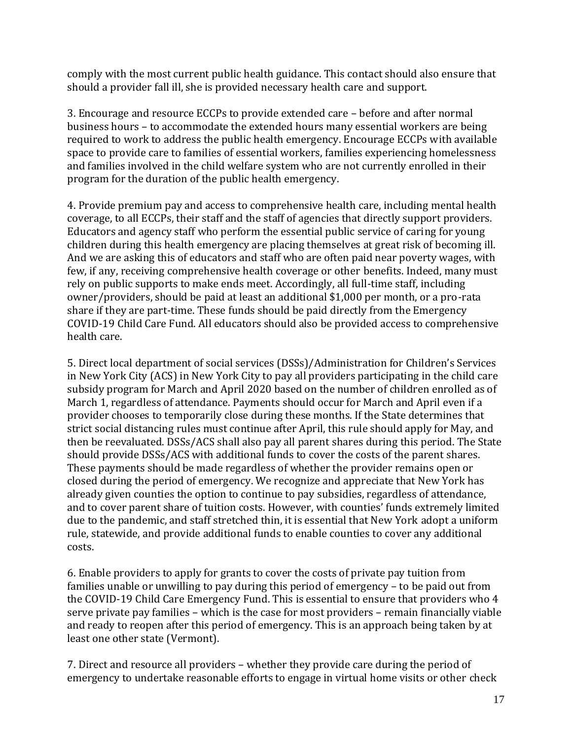comply with the most current public health guidance. This contact should also ensure that should a provider fall ill, she is provided necessary health care and support.

3. Encourage and resource ECCPs to provide extended care – before and after normal business hours – to accommodate the extended hours many essential workers are being required to work to address the public health emergency. Encourage ECCPs with available space to provide care to families of essential workers, families experiencing homelessness and families involved in the child welfare system who are not currently enrolled in their program for the duration of the public health emergency.

4. Provide premium pay and access to comprehensive health care, including mental health coverage, to all ECCPs, their staff and the staff of agencies that directly support providers. Educators and agency staff who perform the essential public service of caring for young children during this health emergency are placing themselves at great risk of becoming ill. And we are asking this of educators and staff who are often paid near poverty wages, with few, if any, receiving comprehensive health coverage or other benefits. Indeed, many must rely on public supports to make ends meet. Accordingly, all full-time staff, including owner/providers, should be paid at least an additional \$1,000 per month, or a pro-rata share if they are part-time. These funds should be paid directly from the Emergency COVID-19 Child Care Fund. All educators should also be provided access to comprehensive health care.

5. Direct local department of social services (DSSs)/Administration for Children's Services in New York City (ACS) in New York City to pay all providers participating in the child care subsidy program for March and April 2020 based on the number of children enrolled as of March 1, regardless of attendance. Payments should occur for March and April even if a provider chooses to temporarily close during these months. If the State determines that strict social distancing rules must continue after April, this rule should apply for May, and then be reevaluated. DSSs/ACS shall also pay all parent shares during this period. The State should provide DSSs/ACS with additional funds to cover the costs of the parent shares. These payments should be made regardless of whether the provider remains open or closed during the period of emergency. We recognize and appreciate that New York has already given counties the option to continue to pay subsidies, regardless of attendance, and to cover parent share of tuition costs. However, with counties' funds extremely limited due to the pandemic, and staff stretched thin, it is essential that New York adopt a uniform rule, statewide, and provide additional funds to enable counties to cover any additional costs.

6. Enable providers to apply for grants to cover the costs of private pay tuition from families unable or unwilling to pay during this period of emergency – to be paid out from the COVID-19 Child Care Emergency Fund. This is essential to ensure that providers who 4 serve private pay families – which is the case for most providers – remain financially viable and ready to reopen after this period of emergency. This is an approach being taken by at least one other state (Vermont).

7. Direct and resource all providers – whether they provide care during the period of emergency to undertake reasonable efforts to engage in virtual home visits or other check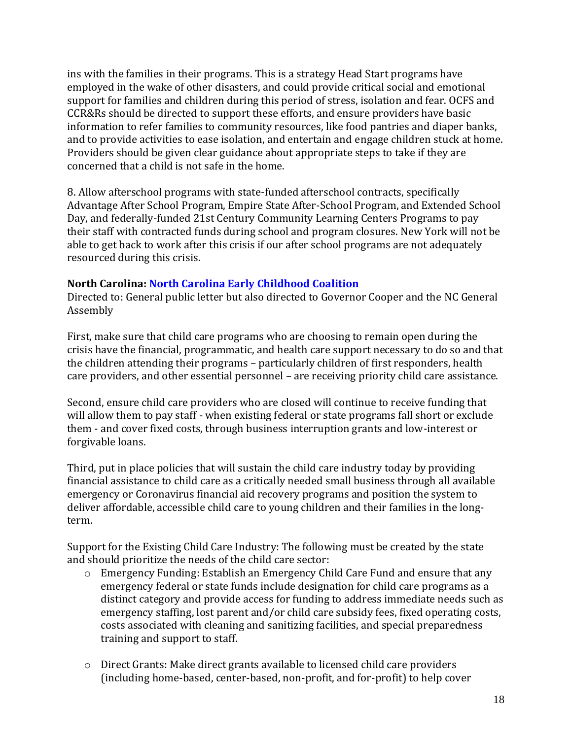ins with the families in their programs. This is a strategy Head Start programs have employed in the wake of other disasters, and could provide critical social and emotional support for families and children during this period of stress, isolation and fear. OCFS and CCR&Rs should be directed to support these efforts, and ensure providers have basic information to refer families to community resources, like food pantries and diaper banks, and to provide activities to ease isolation, and entertain and engage children stuck at home. Providers should be given clear guidance about appropriate steps to take if they are concerned that a child is not safe in the home.

8. Allow afterschool programs with state-funded afterschool contracts, specifically Advantage After School Program, Empire State After-School Program, and Extended School Day, and federally-funded 21st Century Community Learning Centers Programs to pay their staff with contracted funds during school and program closures. New York will not be able to get back to work after this crisis if our after school programs are not adequately resourced during this crisis.

### **North Carolina[: North Carolina Early Childhood Coalition](http://earlysuccess.org/sites/default/files/FinalNCEarlyEducationCoalitionECEEmergencyChildCareAssistancePackage32620.pdf)**

Directed to: General public letter but also directed to Governor Cooper and the NC General Assembly

First, make sure that child care programs who are choosing to remain open during the crisis have the financial, programmatic, and health care support necessary to do so and that the children attending their programs – particularly children of first responders, health care providers, and other essential personnel – are receiving priority child care assistance.

Second, ensure child care providers who are closed will continue to receive funding that will allow them to pay staff - when existing federal or state programs fall short or exclude them - and cover fixed costs, through business interruption grants and low-interest or forgivable loans.

Third, put in place policies that will sustain the child care industry today by providing financial assistance to child care as a critically needed small business through all available emergency or Coronavirus financial aid recovery programs and position the system to deliver affordable, accessible child care to young children and their families in the longterm.

Support for the Existing Child Care Industry: The following must be created by the state and should prioritize the needs of the child care sector:

- o Emergency Funding: Establish an Emergency Child Care Fund and ensure that any emergency federal or state funds include designation for child care programs as a distinct category and provide access for funding to address immediate needs such as emergency staffing, lost parent and/or child care subsidy fees, fixed operating costs, costs associated with cleaning and sanitizing facilities, and special preparedness training and support to staff.
- $\circ$  Direct Grants: Make direct grants available to licensed child care providers (including home-based, center-based, non-profit, and for-profit) to help cover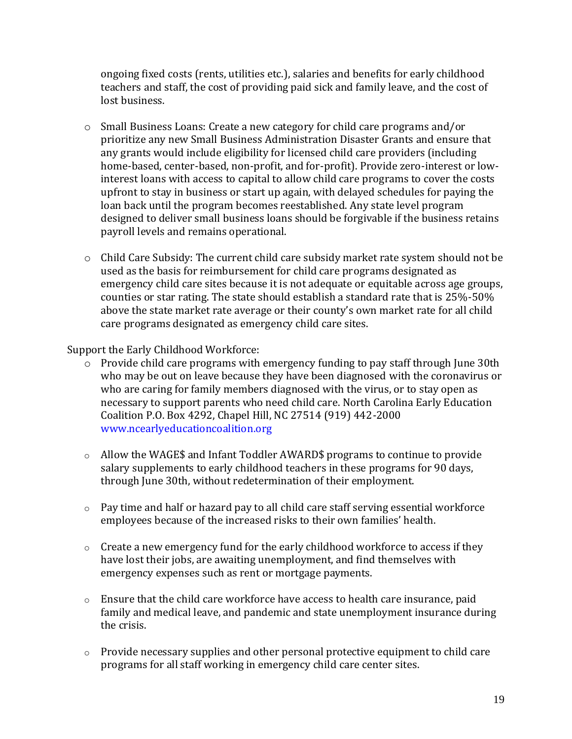ongoing fixed costs (rents, utilities etc.), salaries and benefits for early childhood teachers and staff, the cost of providing paid sick and family leave, and the cost of lost business.

- o Small Business Loans: Create a new category for child care programs and/or prioritize any new Small Business Administration Disaster Grants and ensure that any grants would include eligibility for licensed child care providers (including home-based, center-based, non-profit, and for-profit). Provide zero-interest or lowinterest loans with access to capital to allow child care programs to cover the costs upfront to stay in business or start up again, with delayed schedules for paying the loan back until the program becomes reestablished. Any state level program designed to deliver small business loans should be forgivable if the business retains payroll levels and remains operational.
- o Child Care Subsidy: The current child care subsidy market rate system should not be used as the basis for reimbursement for child care programs designated as emergency child care sites because it is not adequate or equitable across age groups, counties or star rating. The state should establish a standard rate that is 25%-50% above the state market rate average or their county's own market rate for all child care programs designated as emergency child care sites.

Support the Early Childhood Workforce:

- o Provide child care programs with emergency funding to pay staff through June 30th who may be out on leave because they have been diagnosed with the coronavirus or who are caring for family members diagnosed with the virus, or to stay open as necessary to support parents who need child care. North Carolina Early Education Coalition P.O. Box 4292, Chapel Hill, NC 27514 (919) 442-2000 [www.ncearlyeducationcoalition.org](http://www.ncearlyeducationcoalition.org/)
- $\circ$  Allow the WAGE\$ and Infant Toddler AWARD\$ programs to continue to provide salary supplements to early childhood teachers in these programs for 90 days, through June 30th, without redetermination of their employment.
- o Pay time and half or hazard pay to all child care staff serving essential workforce employees because of the increased risks to their own families' health.
- $\circ$  Create a new emergency fund for the early childhood workforce to access if they have lost their jobs, are awaiting unemployment, and find themselves with emergency expenses such as rent or mortgage payments.
- $\circ$  Ensure that the child care workforce have access to health care insurance, paid family and medical leave, and pandemic and state unemployment insurance during the crisis.
- o Provide necessary supplies and other personal protective equipment to child care programs for all staff working in emergency child care center sites.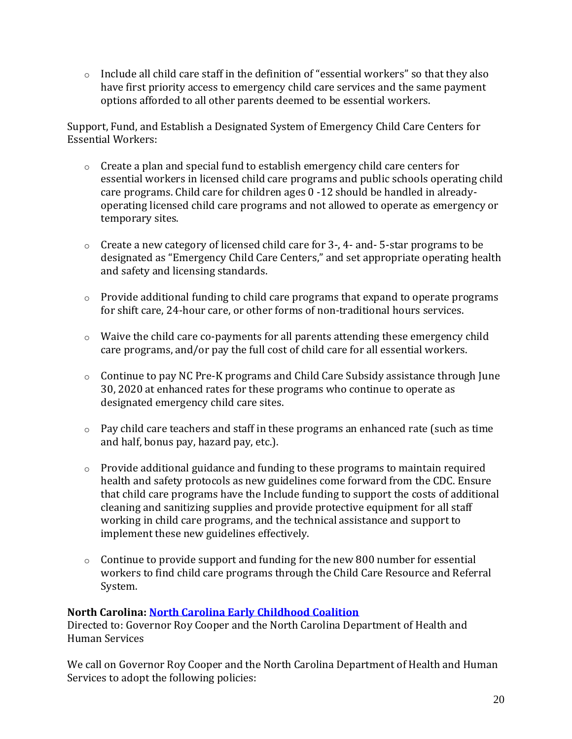$\circ$  Include all child care staff in the definition of "essential workers" so that they also have first priority access to emergency child care services and the same payment options afforded to all other parents deemed to be essential workers.

Support, Fund, and Establish a Designated System of Emergency Child Care Centers for Essential Workers:

- $\circ$  Create a plan and special fund to establish emergency child care centers for essential workers in licensed child care programs and public schools operating child care programs. Child care for children ages 0 -12 should be handled in alreadyoperating licensed child care programs and not allowed to operate as emergency or temporary sites.
- o Create a new category of licensed child care for 3-, 4- and- 5-star programs to be designated as "Emergency Child Care Centers," and set appropriate operating health and safety and licensing standards.
- o Provide additional funding to child care programs that expand to operate programs for shift care, 24-hour care, or other forms of non-traditional hours services.
- $\circ$  Waive the child care co-payments for all parents attending these emergency child care programs, and/or pay the full cost of child care for all essential workers.
- $\circ$  Continue to pay NC Pre-K programs and Child Care Subsidy assistance through June 30, 2020 at enhanced rates for these programs who continue to operate as designated emergency child care sites.
- $\circ$  Pay child care teachers and staff in these programs an enhanced rate (such as time and half, bonus pay, hazard pay, etc.).
- $\circ$  Provide additional guidance and funding to these programs to maintain required health and safety protocols as new guidelines come forward from the CDC. Ensure that child care programs have the Include funding to support the costs of additional cleaning and sanitizing supplies and provide protective equipment for all staff working in child care programs, and the technical assistance and support to implement these new guidelines effectively.
- $\circ$  Continue to provide support and funding for the new 800 number for essential workers to find child care programs through the Child Care Resource and Referral System.

# **North Carolina[: North Carolina Early Childhood Coalition](https://www.ncearlyeducationcoalition.org/covid19-child-care-closure/?mc_cid=17be964a77&mc_eid=b404ac42f3)**

Directed to: Governor Roy Cooper and the North Carolina Department of Health and Human Services

We call on Governor Roy Cooper and the North Carolina Department of Health and Human Services to adopt the following policies: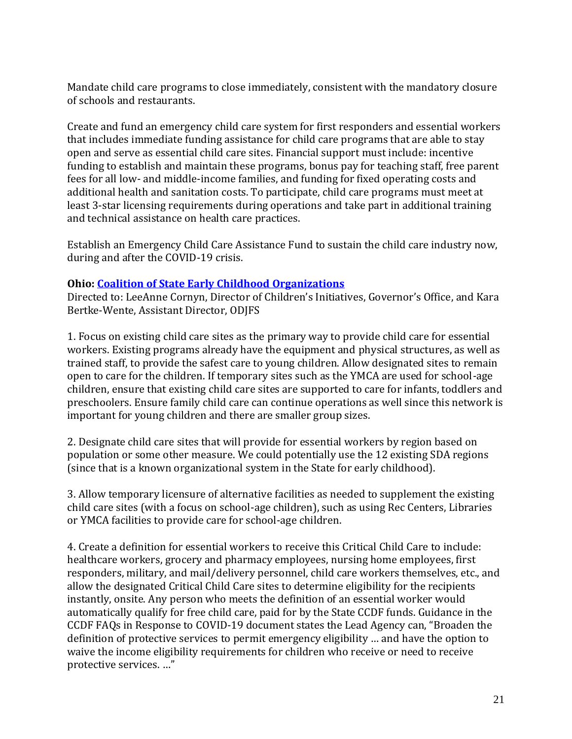Mandate child care programs to close immediately, consistent with the mandatory closure of schools and restaurants.

Create and fund an emergency child care system for first responders and essential workers that includes immediate funding assistance for child care programs that are able to stay open and serve as essential child care sites. Financial support must include: incentive funding to establish and maintain these programs, bonus pay for teaching staff, free parent fees for all low- and middle-income families, and funding for fixed operating costs and additional health and sanitation costs. To participate, child care programs must meet at least 3-star licensing requirements during operations and take part in additional training and technical assistance on health care practices.

Establish an Emergency Child Care Assistance Fund to sustain the child care industry now, during and after the COVID-19 crisis.

### **Ohio: [Coalition of State Early Childhood Organizations](http://earlysuccess.org/sites/default/files/Critical%20Child%20Care%20Recommendations%20March%2017%202020%20Final.pdf)**

Directed to: LeeAnne Cornyn, Director of Children's Initiatives, Governor's Office, and Kara Bertke-Wente, Assistant Director, ODJFS

1. Focus on existing child care sites as the primary way to provide child care for essential workers. Existing programs already have the equipment and physical structures, as well as trained staff, to provide the safest care to young children. Allow designated sites to remain open to care for the children. If temporary sites such as the YMCA are used for school-age children, ensure that existing child care sites are supported to care for infants, toddlers and preschoolers. Ensure family child care can continue operations as well since this network is important for young children and there are smaller group sizes.

2. Designate child care sites that will provide for essential workers by region based on population or some other measure. We could potentially use the 12 existing SDA regions (since that is a known organizational system in the State for early childhood).

3. Allow temporary licensure of alternative facilities as needed to supplement the existing child care sites (with a focus on school-age children), such as using Rec Centers, Libraries or YMCA facilities to provide care for school-age children.

4. Create a definition for essential workers to receive this Critical Child Care to include: healthcare workers, grocery and pharmacy employees, nursing home employees, first responders, military, and mail/delivery personnel, child care workers themselves, etc., and allow the designated Critical Child Care sites to determine eligibility for the recipients instantly, onsite. Any person who meets the definition of an essential worker would automatically qualify for free child care, paid for by the State CCDF funds. Guidance in the CCDF FAQs in Response to COVID-19 document states the Lead Agency can, "Broaden the definition of protective services to permit emergency eligibility … and have the option to waive the income eligibility requirements for children who receive or need to receive protective services. …"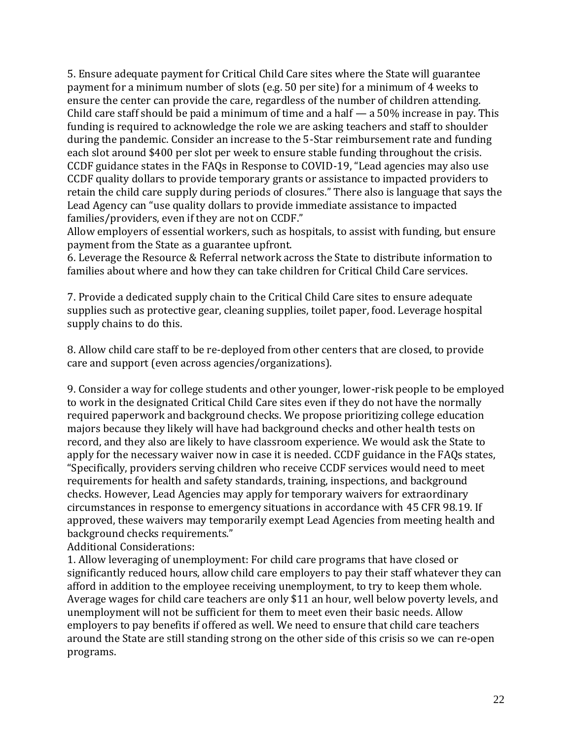5. Ensure adequate payment for Critical Child Care sites where the State will guarantee payment for a minimum number of slots (e.g. 50 per site) for a minimum of 4 weeks to ensure the center can provide the care, regardless of the number of children attending. Child care staff should be paid a minimum of time and a half — a 50% increase in pay. This funding is required to acknowledge the role we are asking teachers and staff to shoulder during the pandemic. Consider an increase to the 5-Star reimbursement rate and funding each slot around \$400 per slot per week to ensure stable funding throughout the crisis. CCDF guidance states in the FAQs in Response to COVID-19, "Lead agencies may also use CCDF quality dollars to provide temporary grants or assistance to impacted providers to retain the child care supply during periods of closures." There also is language that says the Lead Agency can "use quality dollars to provide immediate assistance to impacted families/providers, even if they are not on CCDF."

Allow employers of essential workers, such as hospitals, to assist with funding, but ensure payment from the State as a guarantee upfront.

6. Leverage the Resource & Referral network across the State to distribute information to families about where and how they can take children for Critical Child Care services.

7. Provide a dedicated supply chain to the Critical Child Care sites to ensure adequate supplies such as protective gear, cleaning supplies, toilet paper, food. Leverage hospital supply chains to do this.

8. Allow child care staff to be re-deployed from other centers that are closed, to provide care and support (even across agencies/organizations).

9. Consider a way for college students and other younger, lower-risk people to be employed to work in the designated Critical Child Care sites even if they do not have the normally required paperwork and background checks. We propose prioritizing college education majors because they likely will have had background checks and other health tests on record, and they also are likely to have classroom experience. We would ask the State to apply for the necessary waiver now in case it is needed. CCDF guidance in the FAQs states, "Specifically, providers serving children who receive CCDF services would need to meet requirements for health and safety standards, training, inspections, and background checks. However, Lead Agencies may apply for temporary waivers for extraordinary circumstances in response to emergency situations in accordance with 45 CFR 98.19. If approved, these waivers may temporarily exempt Lead Agencies from meeting health and background checks requirements."

Additional Considerations:

1. Allow leveraging of unemployment: For child care programs that have closed or significantly reduced hours, allow child care employers to pay their staff whatever they can afford in addition to the employee receiving unemployment, to try to keep them whole. Average wages for child care teachers are only \$11 an hour, well below poverty levels, and unemployment will not be sufficient for them to meet even their basic needs. Allow employers to pay benefits if offered as well. We need to ensure that child care teachers around the State are still standing strong on the other side of this crisis so we can re-open programs.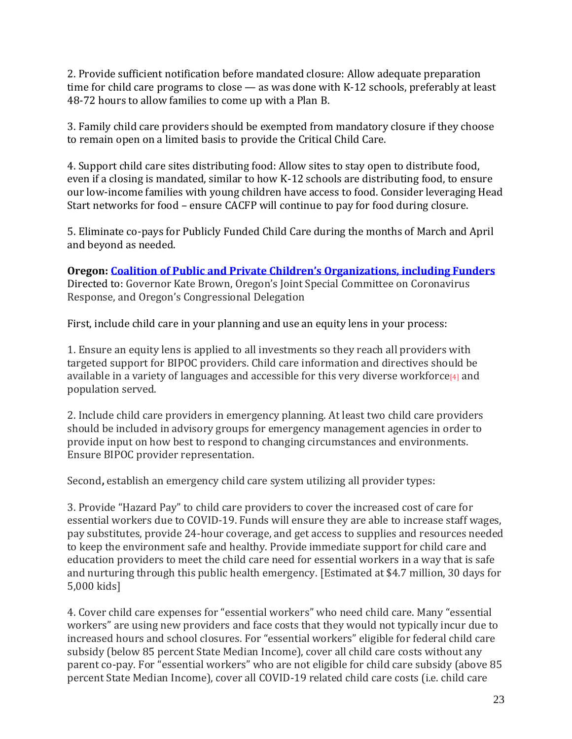2. Provide sufficient notification before mandated closure: Allow adequate preparation time for child care programs to close — as was done with K-12 schools, preferably at least 48-72 hours to allow families to come up with a Plan B.

3. Family child care providers should be exempted from mandatory closure if they choose to remain open on a limited basis to provide the Critical Child Care.

4. Support child care sites distributing food: Allow sites to stay open to distribute food, even if a closing is mandated, similar to how K-12 schools are distributing food, to ensure our low-income families with young children have access to food. Consider leveraging Head Start networks for food – ensure CACFP will continue to pay for food during closure.

5. Eliminate co-pays for Publicly Funded Child Care during the months of March and April and beyond as needed.

**Oregon: Coalition of Public and Private Children's [Organizations, including Funders](https://childinst.org/advocates-push-for-child-care-relief/?eType=EmailBlastContent&eId=c2371ff2-1ce5-4c89-b2d6-9ec96b03c739)** Directed to: Governor Kate Brown, Oregon's Joint Special Committee on Coronavirus Response, and Oregon's Congressional Delegation

First, include child care in your planning and use an equity lens in your process:

1. Ensure an equity lens is applied to all investments so they reach all providers with targeted support for BIPOC providers. Child care information and directives should be available in a variety of languages and accessible for this very diverse workforce<sup>[\[4\]](https://childinst.org/advocates-push-for-child-care-relief/?eType=EmailBlastContent&eId=c2371ff2-1ce5-4c89-b2d6-9ec96b03c739#_ftn4)</sup> and population served.

2. Include child care providers in emergency planning. At least two child care providers should be included in advisory groups for emergency management agencies in order to provide input on how best to respond to changing circumstances and environments. Ensure BIPOC provider representation.

Second**,** establish an emergency child care system utilizing all provider types:

3. Provide "Hazard Pay" to child care providers to cover the increased cost of care for essential workers due to COVID-19. Funds will ensure they are able to increase staff wages, pay substitutes, provide 24-hour coverage, and get access to supplies and resources needed to keep the environment safe and healthy. Provide immediate support for child care and education providers to meet the child care need for essential workers in a way that is safe and nurturing through this public health emergency. [Estimated at \$4.7 million, 30 days for 5,000 kids]

4. Cover child care expenses for "essential workers" who need child care. Many "essential workers" are using new providers and face costs that they would not typically incur due to increased hours and school closures. For "essential workers" eligible for federal child care subsidy (below 85 percent State Median Income), cover all child care costs without any parent co-pay. For "essential workers" who are not eligible for child care subsidy (above 85 percent State Median Income), cover all COVID-19 related child care costs (i.e. child care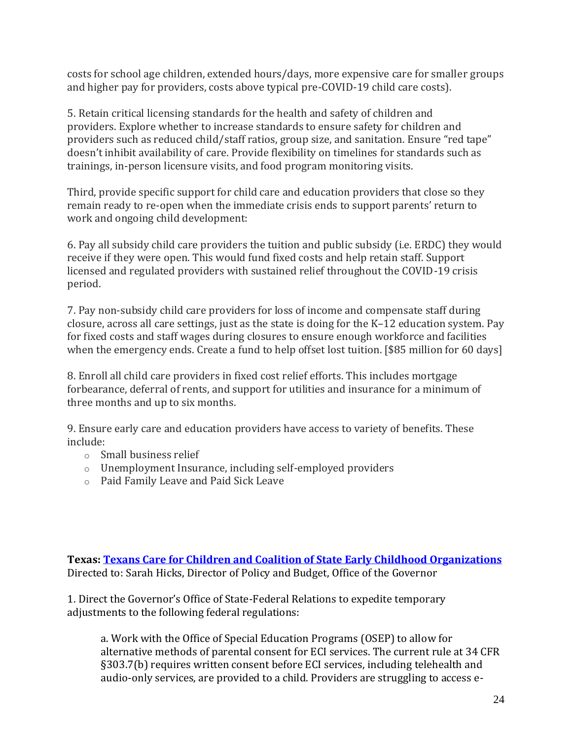costs for school age children, extended hours/days, more expensive care for smaller groups and higher pay for providers, costs above typical pre-COVID-19 child care costs).

5. Retain critical licensing standards for the health and safety of children and providers. Explore whether to increase standards to ensure safety for children and providers such as reduced child/staff ratios, group size, and sanitation. Ensure "red tape" doesn't inhibit availability of care. Provide flexibility on timelines for standards such as trainings, in-person licensure visits, and food program monitoring visits.

Third, provide specific support for child care and education providers that close so they remain ready to re-open when the immediate crisis ends to support parents' return to work and ongoing child development:

6. Pay all subsidy child care providers the tuition and public subsidy (i.e. ERDC) they would receive if they were open. This would fund fixed costs and help retain staff. Support licensed and regulated providers with sustained relief throughout the COVID-19 crisis period.

7. Pay non-subsidy child care providers for loss of income and compensate staff during closure, across all care settings, just as the state is doing for the K–12 education system. Pay for fixed costs and staff wages during closures to ensure enough workforce and facilities when the emergency ends. Create a fund to help offset lost tuition. [\$85 million for 60 days]

8. Enroll all child care providers in fixed cost relief efforts. This includes mortgage forbearance, deferral of rents, and support for utilities and insurance for a minimum of three months and up to six months.

9. Ensure early care and education providers have access to variety of benefits. These include:

- o Small business relief
- o Unemployment Insurance, including self-employed providers
- o Paid Family Leave and Paid Sick Leave

**Texas: [Texans Care for Children and Coalition of State Early Childhood Organizations](http://txchildren.org/posts/2020/4/8/45-tx-groups-call-for-supporting-eci-during-pandemic)** Directed to: Sarah Hicks, Director of Policy and Budget, Office of the Governor

1. Direct the Governor's Office of State-Federal Relations to expedite temporary adjustments to the following federal regulations:

a. Work with the Office of Special Education Programs (OSEP) to allow for alternative methods of parental consent for ECI services. The current rule at 34 CFR §303.7(b) requires written consent before ECI services, including telehealth and audio-only services, are provided to a child. Providers are struggling to access e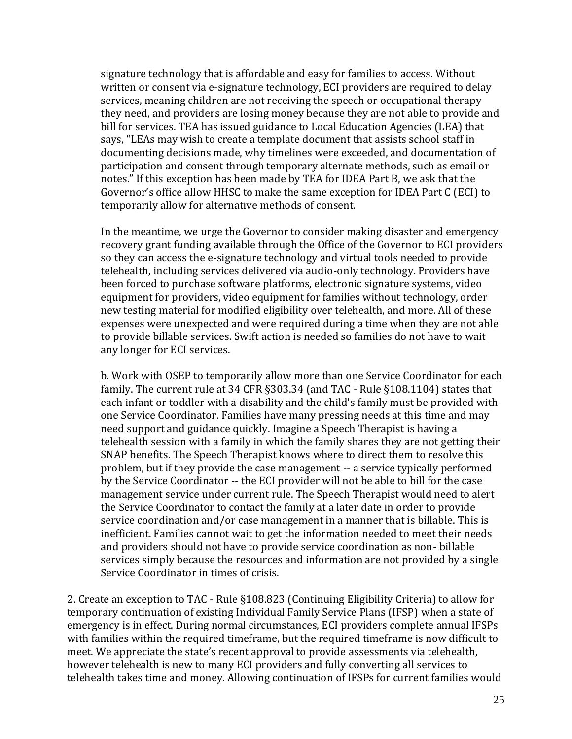signature technology that is affordable and easy for families to access. Without written or consent via e-signature technology, ECI providers are required to delay services, meaning children are not receiving the speech or occupational therapy they need, and providers are losing money because they are not able to provide and bill for services. TEA has issued guidance to Local Education Agencies (LEA) that says, "LEAs may wish to create a template document that assists school staff in documenting decisions made, why timelines were exceeded, and documentation of participation and consent through temporary alternate methods, such as email or notes." If this exception has been made by TEA for IDEA Part B, we ask that the Governor's office allow HHSC to make the same exception for IDEA Part C (ECI) to temporarily allow for alternative methods of consent.

In the meantime, we urge the Governor to consider making disaster and emergency recovery grant funding available through the Office of the Governor to ECI providers so they can access the e-signature technology and virtual tools needed to provide telehealth, including services delivered via audio-only technology. Providers have been forced to purchase software platforms, electronic signature systems, video equipment for providers, video equipment for families without technology, order new testing material for modified eligibility over telehealth, and more. All of these expenses were unexpected and were required during a time when they are not able to provide billable services. Swift action is needed so families do not have to wait any longer for ECI services.

b. Work with OSEP to temporarily allow more than one Service Coordinator for each family. The current rule at 34 CFR §303.34 (and TAC - Rule §108.1104) states that each infant or toddler with a disability and the child's family must be provided with one Service Coordinator. Families have many pressing needs at this time and may need support and guidance quickly. Imagine a Speech Therapist is having a telehealth session with a family in which the family shares they are not getting their SNAP benefits. The Speech Therapist knows where to direct them to resolve this problem, but if they provide the case management -- a service typically performed by the Service Coordinator -- the ECI provider will not be able to bill for the case management service under current rule. The Speech Therapist would need to alert the Service Coordinator to contact the family at a later date in order to provide service coordination and/or case management in a manner that is billable. This is inefficient. Families cannot wait to get the information needed to meet their needs and providers should not have to provide service coordination as non- billable services simply because the resources and information are not provided by a single Service Coordinator in times of crisis.

2. Create an exception to TAC - Rule §108.823 (Continuing Eligibility Criteria) to allow for temporary continuation of existing Individual Family Service Plans (IFSP) when a state of emergency is in effect. During normal circumstances, ECI providers complete annual IFSPs with families within the required timeframe, but the required timeframe is now difficult to meet. We appreciate the state's recent approval to provide assessments via telehealth, however telehealth is new to many ECI providers and fully converting all services to telehealth takes time and money. Allowing continuation of IFSPs for current families would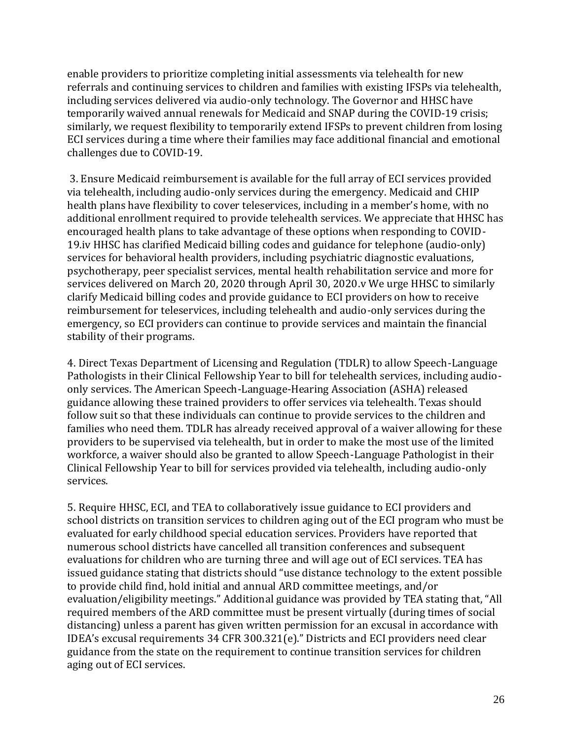enable providers to prioritize completing initial assessments via telehealth for new referrals and continuing services to children and families with existing IFSPs via telehealth, including services delivered via audio-only technology. The Governor and HHSC have temporarily waived annual renewals for Medicaid and SNAP during the COVID-19 crisis; similarly, we request flexibility to temporarily extend IFSPs to prevent children from losing ECI services during a time where their families may face additional financial and emotional challenges due to COVID-19.

3. Ensure Medicaid reimbursement is available for the full array of ECI services provided via telehealth, including audio-only services during the emergency. Medicaid and CHIP health plans have flexibility to cover teleservices, including in a member's home, with no additional enrollment required to provide telehealth services. We appreciate that HHSC has encouraged health plans to take advantage of these options when responding to COVID-19.iv HHSC has clarified Medicaid billing codes and guidance for telephone (audio-only) services for behavioral health providers, including psychiatric diagnostic evaluations, psychotherapy, peer specialist services, mental health rehabilitation service and more for services delivered on March 20, 2020 through April 30, 2020.v We urge HHSC to similarly clarify Medicaid billing codes and provide guidance to ECI providers on how to receive reimbursement for teleservices, including telehealth and audio-only services during the emergency, so ECI providers can continue to provide services and maintain the financial stability of their programs.

4. Direct Texas Department of Licensing and Regulation (TDLR) to allow Speech-Language Pathologists in their Clinical Fellowship Year to bill for telehealth services, including audioonly services. The American Speech-Language-Hearing Association (ASHA) released guidance allowing these trained providers to offer services via telehealth. Texas should follow suit so that these individuals can continue to provide services to the children and families who need them. TDLR has already received approval of a waiver allowing for these providers to be supervised via telehealth, but in order to make the most use of the limited workforce, a waiver should also be granted to allow Speech-Language Pathologist in their Clinical Fellowship Year to bill for services provided via telehealth, including audio-only services.

5. Require HHSC, ECI, and TEA to collaboratively issue guidance to ECI providers and school districts on transition services to children aging out of the ECI program who must be evaluated for early childhood special education services. Providers have reported that numerous school districts have cancelled all transition conferences and subsequent evaluations for children who are turning three and will age out of ECI services. TEA has issued guidance stating that districts should "use distance technology to the extent possible to provide child find, hold initial and annual ARD committee meetings, and/or evaluation/eligibility meetings." Additional guidance was provided by TEA stating that, "All required members of the ARD committee must be present virtually (during times of social distancing) unless a parent has given written permission for an excusal in accordance with IDEA's excusal requirements 34 CFR 300.321(e)." Districts and ECI providers need clear guidance from the state on the requirement to continue transition services for children aging out of ECI services.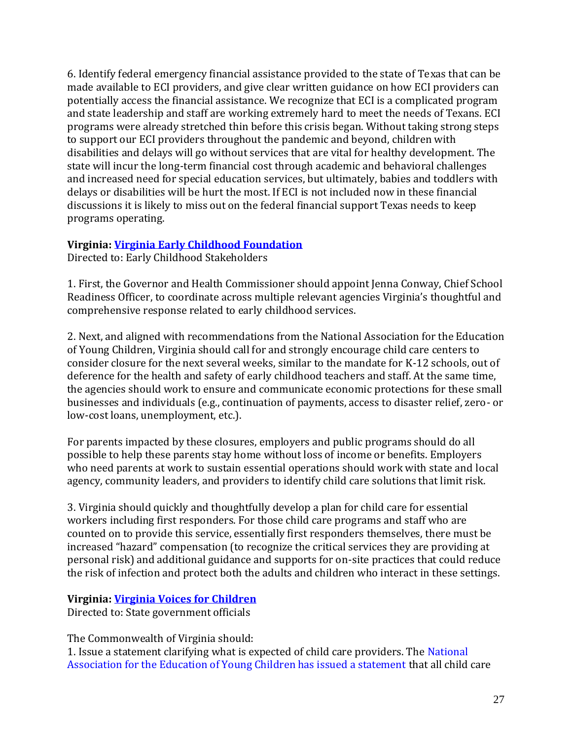6. Identify federal emergency financial assistance provided to the state of Texas that can be made available to ECI providers, and give clear written guidance on how ECI providers can potentially access the financial assistance. We recognize that ECI is a complicated program and state leadership and staff are working extremely hard to meet the needs of Texans. ECI programs were already stretched thin before this crisis began. Without taking strong steps to support our ECI providers throughout the pandemic and beyond, children with disabilities and delays will go without services that are vital for healthy development. The state will incur the long-term financial cost through academic and behavioral challenges and increased need for special education services, but ultimately, babies and toddlers with delays or disabilities will be hurt the most. If ECI is not included now in these financial discussions it is likely to miss out on the federal financial support Texas needs to keep programs operating.

### **Virginia: [Virginia Early Childhood Foundation](https://www.vecf.org/wp-content/uploads/2020/03/VECF-Position-Statement-Early-Childhood-and-COVID-19-3.25.2020-1.pdf)**

Directed to: Early Childhood Stakeholders

1. First, the Governor and Health Commissioner should appoint Jenna Conway, Chief School Readiness Officer, to coordinate across multiple relevant agencies Virginia's thoughtful and comprehensive response related to early childhood services.

2. Next, and aligned with recommendations from the National Association for the Education of Young Children, Virginia should call for and strongly encourage child care centers to consider closure for the next several weeks, similar to the mandate for K-12 schools, out of deference for the health and safety of early childhood teachers and staff. At the same time, the agencies should work to ensure and communicate economic protections for these small businesses and individuals (e.g., continuation of payments, access to disaster relief, zero- or low-cost loans, unemployment, etc.).

For parents impacted by these closures, employers and public programs should do all possible to help these parents stay home without loss of income or benefits. Employers who need parents at work to sustain essential operations should work with state and local agency, community leaders, and providers to identify child care solutions that limit risk.

3. Virginia should quickly and thoughtfully develop a plan for child care for essential workers including first responders. For those child care programs and staff who are counted on to provide this service, essentially first responders themselves, there must be increased "hazard" compensation (to recognize the critical services they are providing at personal risk) and additional guidance and supports for on-site practices that could reduce the risk of infection and protect both the adults and children who interact in these settings.

### **Virginia: [Virginia Voices for Children](https://vakids.org/our-news/blog/the-covid-19-child-care-conundrum)**

Directed to: State government officials

The Commonwealth of Virginia should:

1. Issue a statement clarifying what is expected of child care providers. The [National](https://www.naeyc.org/resources/blog/child-care-needs-emergency-support)  [Association for the Education of Young Children has issued a statement](https://www.naeyc.org/resources/blog/child-care-needs-emergency-support) that all child care